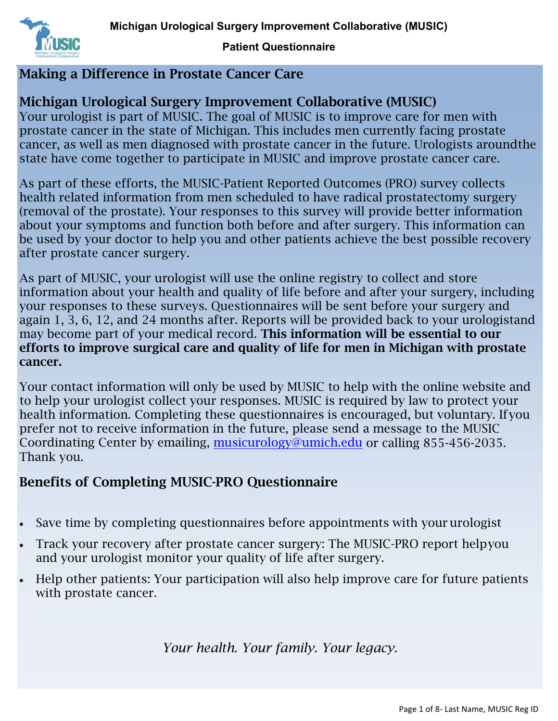

## Making a Difference in Prostate Cancer Care

## Michigan Urological Surgery Improvement Collaborative (MUSIC)

Your urologist is part of MUSIC. The goal of MUSIC is to improve care for men with prostate cancer in the state of Michigan. This includes men currently facing prostate cancer, as well as men diagnosed with prostate cancer in the future. Urologists aroundthe state have come together to participate in MUSIC and improve prostate cancer care.

As part of these efforts, the MUSIC-Patient Reported Outcomes (PRO) survey collects health related information from men scheduled to have radical prostatectomy surgery (removal of the prostate). Your responses to this survey will provide better information about your symptoms and function both before and after surgery. This information can be used by your doctor to help you and other patients achieve the best possible recovery after prostate cancer surgery.

As part of MUSIC, your urologist will use the online registry to collect and store information about your health and quality of life before and after your surgery, including your responses to these surveys. Questionnaires will be sent before your surgery and again 1, 3, 6, 12, and 24 months after. Reports will be provided back to your urologistand may become part of your medical record. This information will be essential to our efforts to improve surgical care and quality of life for men in Michigan with prostate cancer.

Your contact information will only be used by MUSIC to help with the online website and to help your urologist collect your responses. MUSIC is required by law to protect your health information. Completing these questionnaires is encouraged, but voluntary. Ifyou prefer not to receive information in the future, please send a message to the MUSIC Coordinating Center by emailing, [musicurology@umich.edu](mailto:musicurology@umich.edu) or calling 855-456-2035. Thank you.

## Benefits of Completing MUSIC-PRO Questionnaire

- Save time by completing questionnaires before appointments with your urologist
- Track your recovery after prostate cancer surgery: The MUSIC-PRO report helpyou and your urologist monitor your quality of life after surgery.
- Help other patients: Your participation will also help improve care for future patients with prostate cancer.

*Your health. Your family. Your legacy.*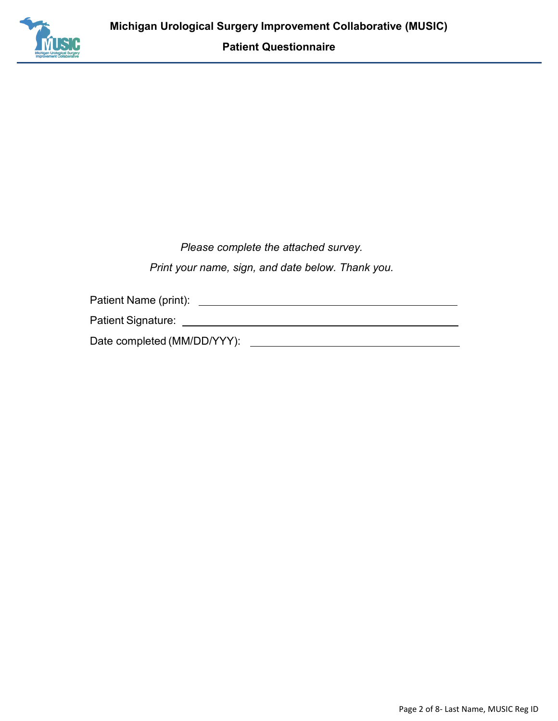

*Please complete the attached survey. Print your name, sign, and date below. Thank you.*

Patient Name (print):

Patient Signature:

Date completed (MM/DD/YYY):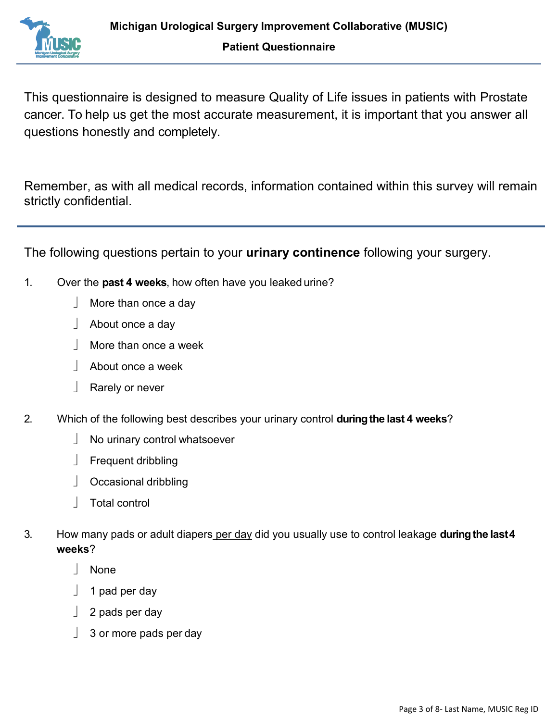

This questionnaire is designed to measure Quality of Life issues in patients with Prostate cancer. To help us get the most accurate measurement, it is important that you answer all questions honestly and completely.

Remember, as with all medical records, information contained within this survey will remain strictly confidential.

The following questions pertain to your **urinary continence** following your surgery.

- 1. Over the **past 4 weeks**, how often have you leaked urine?
	- More than once a day
	- $\perp$  About once a day
	- $\parallel$  More than once a week
	- About once a week
	- Sumble of never
- 2. Which of the following best describes your urinary control **duringthe last 4 weeks**?
	- No urinary control whatsoever
	- Frequent dribbling
	- Occasional dribbling
	- Total control
- 3. How many pads or adult diapers per day did you usually use to control leakage **duringthe last4 weeks**?
	- None
	- 1 pad per day
	- $\vert$  2 pads per day
	- $\vert$  3 or more pads per day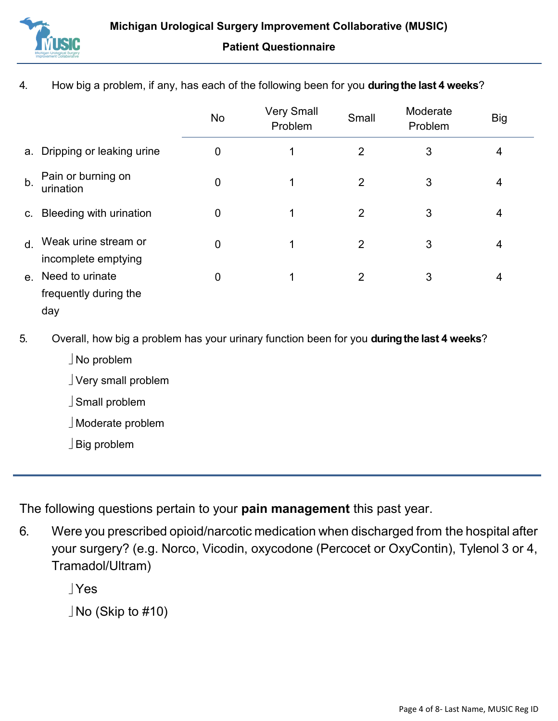

4. How big a problem, if any, has each of the following been for you **duringthe last 4 weeks**?

|                |                                             | No               | <b>Very Small</b><br>Problem | Small          | Moderate<br>Problem | <b>Big</b> |
|----------------|---------------------------------------------|------------------|------------------------------|----------------|---------------------|------------|
| а.             | Dripping or leaking urine                   | $\boldsymbol{0}$ |                              | $\overline{2}$ | 3                   | 4          |
| b.             | Pain or burning on<br>urination             | $\mathbf 0$      |                              | $\overline{2}$ | 3                   | 4          |
|                | c. Bleeding with urination                  | $\mathbf 0$      | 1                            | $\overline{2}$ | 3                   | 4          |
| $\mathsf{d}$ . | Weak urine stream or<br>incomplete emptying | $\overline{0}$   |                              | $\overline{2}$ | 3                   | 4          |
| $e_{-}$        | Need to urinate<br>frequently during the    | 0                | 1                            | 2              | 3                   | 4          |
|                | day                                         |                  |                              |                |                     |            |

- 5. Overall, how big a problem has your urinary function been for you **duringthe last 4 weeks**?
	- No problem
	- Very small problem
	- Small problem
	- Moderate problem
	- Big problem

The following questions pertain to your **pain management** this past year.

6. Were you prescribed opioid/narcotic medication when discharged from the hospital after your surgery? (e.g. Norco, Vicodin, oxycodone (Percocet or OxyContin), Tylenol 3 or 4, Tramadol/Ultram)

Yes

No (Skip to #10)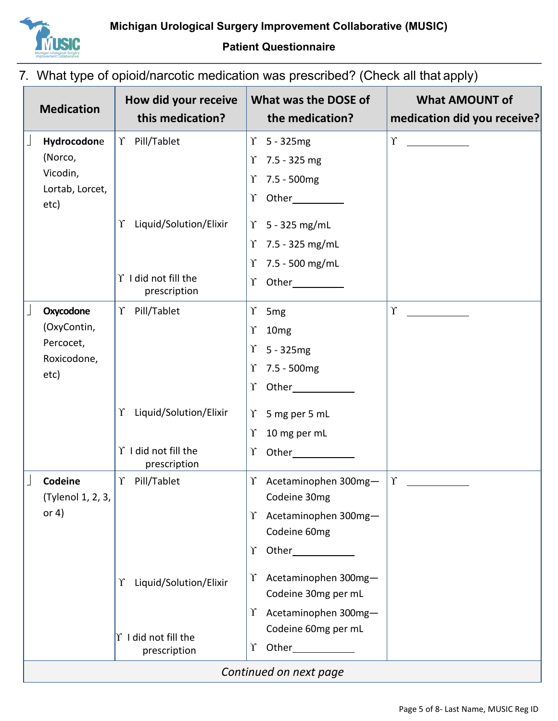

# 7. What type of opioid/narcotic medication was prescribed? (Check all that apply)

| <b>Medication</b>                                             | How did your receive<br>this medication?                                     | What was the DOSE of<br>the medication?                                                                   | <b>What AMOUNT of</b><br>medication did you receive? |
|---------------------------------------------------------------|------------------------------------------------------------------------------|-----------------------------------------------------------------------------------------------------------|------------------------------------------------------|
| Hydrocodone<br>(Norco,<br>Vicodin,<br>Lortab, Lorcet,<br>etc) | Y Pill/Tablet                                                                | $\Upsilon$ 5 - 325mg<br>7.5 - 325 mg<br>Υ<br>7.5 - 500mg<br>Υ<br>Υ                                        | $\Upsilon$                                           |
|                                                               | Liquid/Solution/Elixir<br>Υ<br>$\Upsilon$ I did not fill the<br>prescription | $\Upsilon$ 5 - 325 mg/mL<br>7.5 - 325 mg/mL<br>Υ<br>7.5 - 500 mg/mL<br>Υ<br>Other<br>Υ                    |                                                      |
| Oxycodone<br>(OxyContin,<br>Percocet,<br>Roxicodone,<br>etc)  | Y Pill/Tablet                                                                | 5 <sub>mg</sub><br>Υ<br>10 <sub>mg</sub><br>Υ<br>$5 - 325mg$<br>Υ<br>7.5 - 500mg<br>Υ<br>Υ                | $\Upsilon$                                           |
|                                                               | Liquid/Solution/Elixir<br>Υ<br>$\Upsilon$ I did not fill the<br>prescription | 5 mg per 5 mL<br>Υ<br>10 mg per mL<br>Υ<br>Υ                                                              |                                                      |
| Codeine<br>(Tylenol 1, 2, 3,<br>or $4)$                       | Y Pill/Tablet                                                                | Y Acetaminophen 300mg-<br>Codeine 30mg<br>Acetaminophen 300mg-<br>r<br>Codeine 60mg<br>Other<br>Υ         | $\Upsilon$                                           |
|                                                               | Liquid/Solution/Elixir<br>Υ<br>$\Upsilon$ I did not fill the<br>prescription | Acetaminophen 300mg-<br>Υ<br>Codeine 30mg per mL<br>Acetaminophen 300mg-<br>r<br>Codeine 60mg per mL<br>Υ |                                                      |
|                                                               |                                                                              | Continued on next page                                                                                    |                                                      |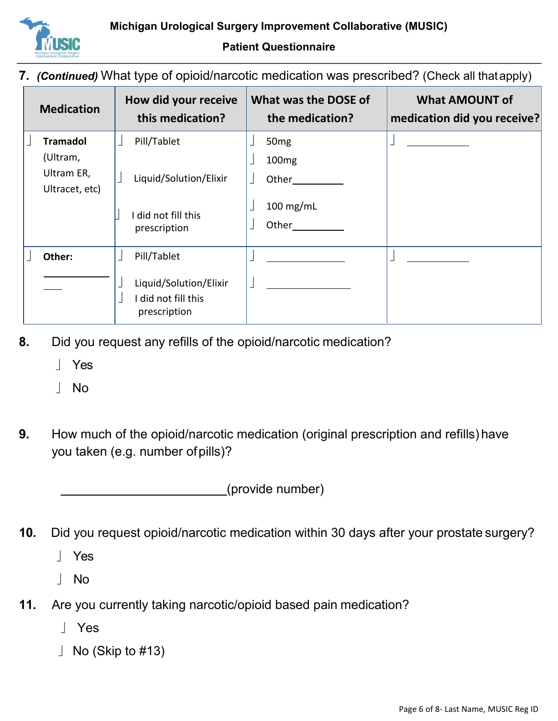

**7.** *(Continued)* What type of opioid/narcotic medication was prescribed? (Check all thatapply)

| <b>Medication</b>                                           | How did your receive<br>this medication?                                   | What was the DOSE of<br>the medication?                     | <b>What AMOUNT of</b><br>medication did you receive? |
|-------------------------------------------------------------|----------------------------------------------------------------------------|-------------------------------------------------------------|------------------------------------------------------|
| <b>Tramadol</b><br>(Ultram,<br>Ultram ER,<br>Ultracet, etc) | Pill/Tablet<br>Liquid/Solution/Elixir                                      | 50 <sub>mg</sub><br>100 <sub>mg</sub><br>Other<br>100 mg/mL |                                                      |
|                                                             | I did not fill this<br>prescription                                        | Other                                                       |                                                      |
| Other:                                                      | Pill/Tablet<br>Liquid/Solution/Elixir<br>did not fill this<br>prescription |                                                             |                                                      |

- **8.** Did you request any refills of the opioid/narcotic medication?
	- Yes
	- No
- **9.** How much of the opioid/narcotic medication (original prescription and refills) have you taken (e.g. number of pills)?

(provide number)

- **10.** Did you request opioid/narcotic medication within 30 days after your prostate surgery?
	- Yes
	- | No
- **11.** Are you currently taking narcotic/opioid based pain medication?
	- Yes
	- $\vert$  No (Skip to #13)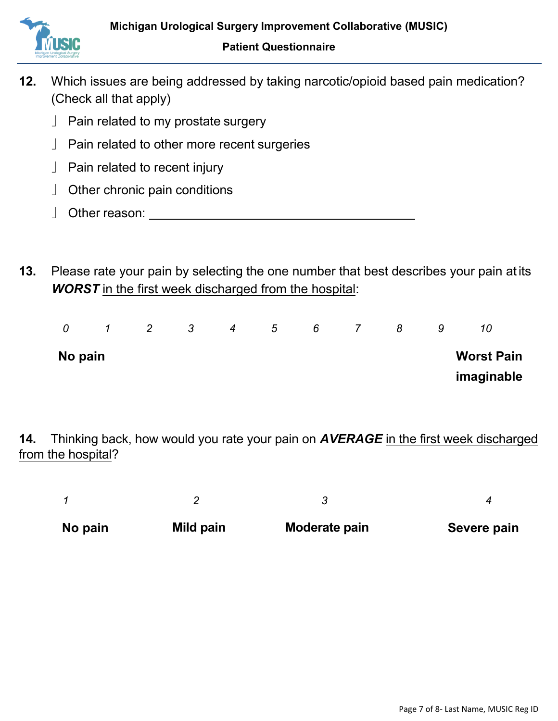

- **12.** Which issues are being addressed by taking narcotic/opioid based pain medication? (Check all that apply)
	- Pain related to my prostate surgery
	- Pain related to other more recent surgeries
	- Pain related to recent injury
	- Other chronic pain conditions
	- **Other reason:** <u>△△△△△△△△△△△△△△△△△△△△△△△△△</u>
- **13.** Please rate your pain by selecting the one number that best describes your pain at its **WORST** in the first week discharged from the hospital:

| $\Omega$ |  | $\overline{2}$ | 3 | $\overline{4}$ | 5 | 6 | 8                 | 9 | 10         |  |
|----------|--|----------------|---|----------------|---|---|-------------------|---|------------|--|
| No pain  |  |                |   |                |   |   | <b>Worst Pain</b> |   |            |  |
|          |  |                |   |                |   |   |                   |   | imaginable |  |

**14.** Thinking back, how would you rate your pain on *AVERAGE* in the first week discharged from the hospital?

| No pain | Mild pain | Moderate pain | Severe pain |
|---------|-----------|---------------|-------------|
|         |           |               |             |